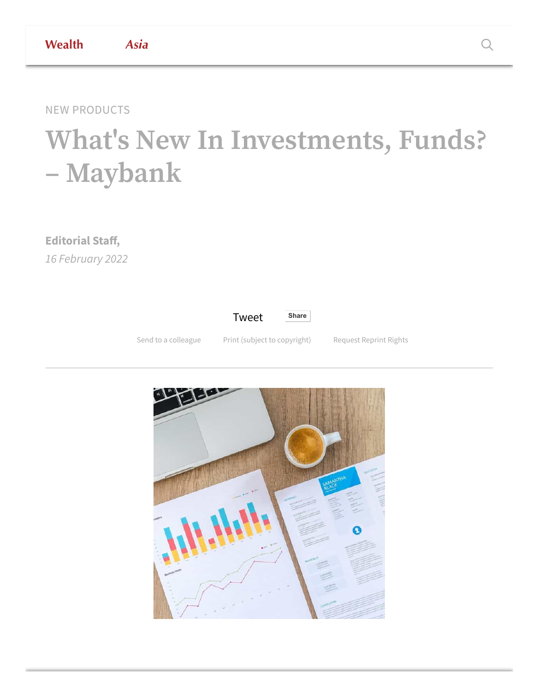## **What's New In Investments, Funds? – Maybank**

**Editorial Staff,** *16 February 2022*



Send to a [colleague](https://www.wealthbriefingasia.com/sharearticle.php?id=193720) Print (subject to [copyright\)](https://www.wealthbriefingasia.com/printarticle.php?id=193720) [Request](mailto:support@clearviewpublishing.zendesk.com?subject=WealthBriefing%20Reprint%20Rights::Title::What%27s%20New%20In%20Investments,%20Funds?%20%E2%80%93%20Maybank%20::ID::193720) Reprint Rights